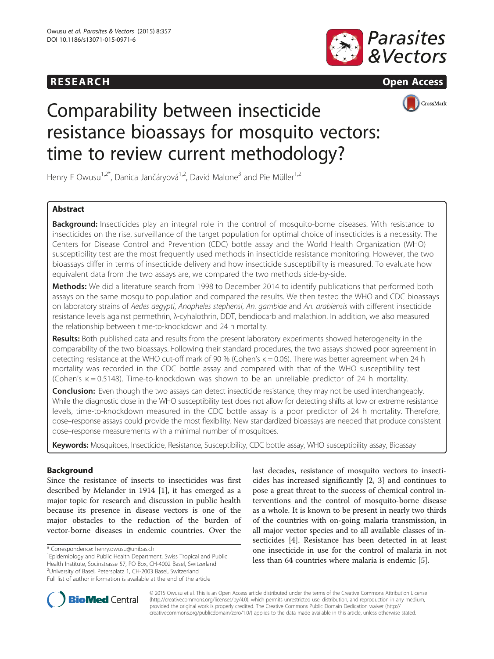# **RESEARCH RESEARCH CONSUMING ACCESS**





# Comparability between insecticide resistance bioassays for mosquito vectors: time to review current methodology?

Henry F Owusu<sup>1,2\*</sup>, Danica Jančáryová<sup>1,2</sup>, David Malone<sup>3</sup> and Pie Müller<sup>1,2</sup>

# Abstract

Background: Insecticides play an integral role in the control of mosquito-borne diseases. With resistance to insecticides on the rise, surveillance of the target population for optimal choice of insecticides is a necessity. The Centers for Disease Control and Prevention (CDC) bottle assay and the World Health Organization (WHO) susceptibility test are the most frequently used methods in insecticide resistance monitoring. However, the two bioassays differ in terms of insecticide delivery and how insecticide susceptibility is measured. To evaluate how equivalent data from the two assays are, we compared the two methods side-by-side.

Methods: We did a literature search from 1998 to December 2014 to identify publications that performed both assays on the same mosquito population and compared the results. We then tested the WHO and CDC bioassays on laboratory strains of Aedes aegypti, Anopheles stephensi, An. gambiae and An. arabiensis with different insecticide resistance levels against permethrin, λ-cyhalothrin, DDT, bendiocarb and malathion. In addition, we also measured the relationship between time-to-knockdown and 24 h mortality.

Results: Both published data and results from the present laboratory experiments showed heterogeneity in the comparability of the two bioassays. Following their standard procedures, the two assays showed poor agreement in detecting resistance at the WHO cut-off mark of 90 % (Cohen's κ = 0.06). There was better agreement when 24 h mortality was recorded in the CDC bottle assay and compared with that of the WHO susceptibility test (Cohen's κ = 0.5148). Time-to-knockdown was shown to be an unreliable predictor of 24 h mortality.

**Conclusion:** Even though the two assays can detect insecticide resistance, they may not be used interchangeably. While the diagnostic dose in the WHO susceptibility test does not allow for detecting shifts at low or extreme resistance levels, time-to-knockdown measured in the CDC bottle assay is a poor predictor of 24 h mortality. Therefore, dose–response assays could provide the most flexibility. New standardized bioassays are needed that produce consistent dose–response measurements with a minimal number of mosquitoes.

Keywords: Mosquitoes, Insecticide, Resistance, Susceptibility, CDC bottle assay, WHO susceptibility assay, Bioassay

# **Background**

Since the resistance of insects to insecticides was first described by Melander in 1914 [\[1](#page-9-0)], it has emerged as a major topic for research and discussion in public health because its presence in disease vectors is one of the major obstacles to the reduction of the burden of vector-borne diseases in endemic countries. Over the

Epidemiology and Public Health Department, Swiss Tropical and Public Health Institute, Socinstrasse 57, PO Box, CH-4002 Basel, Switzerland <sup>2</sup>University of Basel, Petersplatz 1, CH-2003 Basel, Switzerland Full list of author information is available at the end of the article

last decades, resistance of mosquito vectors to insecticides has increased significantly [[2, 3\]](#page-9-0) and continues to pose a great threat to the success of chemical control interventions and the control of mosquito-borne disease as a whole. It is known to be present in nearly two thirds of the countries with on-going malaria transmission, in all major vector species and to all available classes of insecticides [\[4](#page-9-0)]. Resistance has been detected in at least one insecticide in use for the control of malaria in not less than 64 countries where malaria is endemic [[5\]](#page-9-0).



© 2015 Owusu et al. This is an Open Access article distributed under the terms of the Creative Commons Attribution License [\(http://creativecommons.org/licenses/by/4.0\)](http://creativecommons.org/licenses/by/4.0), which permits unrestricted use, distribution, and reproduction in any medium, provided the original work is properly credited. The Creative Commons Public Domain Dedication waiver [\(http://](http://creativecommons.org/publicdomain/zero/1.0/) [creativecommons.org/publicdomain/zero/1.0/\)](http://creativecommons.org/publicdomain/zero/1.0/) applies to the data made available in this article, unless otherwise stated.

<sup>\*</sup> Correspondence: [henry.owusu@unibas.ch](mailto:henry.owusu@unibas.ch) <sup>1</sup>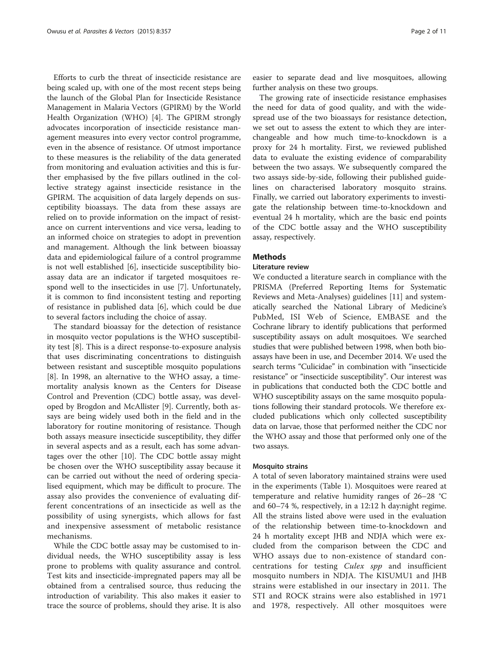Efforts to curb the threat of insecticide resistance are being scaled up, with one of the most recent steps being the launch of the Global Plan for Insecticide Resistance Management in Malaria Vectors (GPIRM) by the World Health Organization (WHO) [\[4](#page-9-0)]. The GPIRM strongly advocates incorporation of insecticide resistance management measures into every vector control programme, even in the absence of resistance. Of utmost importance to these measures is the reliability of the data generated from monitoring and evaluation activities and this is further emphasised by the five pillars outlined in the collective strategy against insecticide resistance in the GPIRM. The acquisition of data largely depends on susceptibility bioassays. The data from these assays are relied on to provide information on the impact of resistance on current interventions and vice versa, leading to an informed choice on strategies to adopt in prevention and management. Although the link between bioassay data and epidemiological failure of a control programme is not well established [\[6](#page-9-0)], insecticide susceptibility bioassay data are an indicator if targeted mosquitoes respond well to the insecticides in use [\[7](#page-9-0)]. Unfortunately, it is common to find inconsistent testing and reporting of resistance in published data [[6\]](#page-9-0), which could be due to several factors including the choice of assay.

The standard bioassay for the detection of resistance in mosquito vector populations is the WHO susceptibility test [[8](#page-9-0)]. This is a direct response-to-exposure analysis that uses discriminating concentrations to distinguish between resistant and susceptible mosquito populations [[8\]](#page-9-0). In 1998, an alternative to the WHO assay, a timemortality analysis known as the Centers for Disease Control and Prevention (CDC) bottle assay, was developed by Brogdon and McAllister [[9\]](#page-9-0). Currently, both assays are being widely used both in the field and in the laboratory for routine monitoring of resistance. Though both assays measure insecticide susceptibility, they differ in several aspects and as a result, each has some advantages over the other [\[10](#page-9-0)]. The CDC bottle assay might be chosen over the WHO susceptibility assay because it can be carried out without the need of ordering specialised equipment, which may be difficult to procure. The assay also provides the convenience of evaluating different concentrations of an insecticide as well as the possibility of using synergists, which allows for fast and inexpensive assessment of metabolic resistance mechanisms.

While the CDC bottle assay may be customised to individual needs, the WHO susceptibility assay is less prone to problems with quality assurance and control. Test kits and insecticide-impregnated papers may all be obtained from a centralised source, thus reducing the introduction of variability. This also makes it easier to trace the source of problems, should they arise. It is also

easier to separate dead and live mosquitoes, allowing further analysis on these two groups.

The growing rate of insecticide resistance emphasises the need for data of good quality, and with the widespread use of the two bioassays for resistance detection, we set out to assess the extent to which they are interchangeable and how much time-to-knockdown is a proxy for 24 h mortality. First, we reviewed published data to evaluate the existing evidence of comparability between the two assays. We subsequently compared the two assays side-by-side, following their published guidelines on characterised laboratory mosquito strains. Finally, we carried out laboratory experiments to investigate the relationship between time-to-knockdown and eventual 24 h mortality, which are the basic end points of the CDC bottle assay and the WHO susceptibility assay, respectively.

# **Methods**

## Literature review

We conducted a literature search in compliance with the PRISMA (Preferred Reporting Items for Systematic Reviews and Meta-Analyses) guidelines [[11\]](#page-9-0) and systematically searched the National Library of Medicine's PubMed, ISI Web of Science, EMBASE and the Cochrane library to identify publications that performed susceptibility assays on adult mosquitoes. We searched studies that were published between 1998, when both bioassays have been in use, and December 2014. We used the search terms "Culicidae" in combination with "insecticide resistance" or "insecticide susceptibility". Our interest was in publications that conducted both the CDC bottle and WHO susceptibility assays on the same mosquito populations following their standard protocols. We therefore excluded publications which only collected susceptibility data on larvae, those that performed neither the CDC nor the WHO assay and those that performed only one of the two assays.

# Mosquito strains

A total of seven laboratory maintained strains were used in the experiments (Table [1\)](#page-2-0). Mosquitoes were reared at temperature and relative humidity ranges of 26–28 °C and 60–74 %, respectively, in a 12:12 h day:night regime. All the strains listed above were used in the evaluation of the relationship between time-to-knockdown and 24 h mortality except JHB and NDJA which were excluded from the comparison between the CDC and WHO assays due to non-existence of standard concentrations for testing Culex spp and insufficient mosquito numbers in NDJA. The KISUMU1 and JHB strains were established in our insectary in 2011. The STI and ROCK strains were also established in 1971 and 1978, respectively. All other mosquitoes were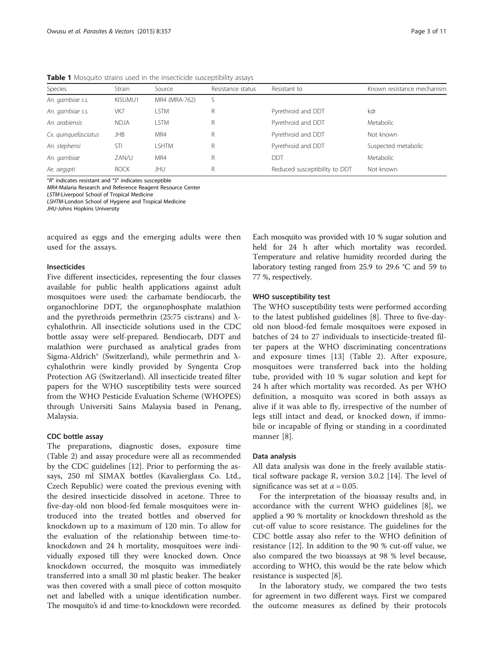<span id="page-2-0"></span>Table 1 Mosquito strains used in the insecticide susceptibility assays

| Species              | Strain      | Source        | Resistance status | Resistant to                  | Known resistance mechanism |
|----------------------|-------------|---------------|-------------------|-------------------------------|----------------------------|
| An. gambiae s.s.     | KISUMU1     | MR4 (MRA-762) |                   |                               |                            |
| An. gambiae s.s.     | VK7         | .STM          | R                 | Pyrethroid and DDT            | kdr                        |
| An. arabiensis       | <b>NDJA</b> | <b>STM</b>    | R                 | Pyrethroid and DDT            | <b>Metabolic</b>           |
| Cx. quinquefasciatus | JHB         | MR4           | R                 | Pyrethroid and DDT            | Not known                  |
| An. stephensi        | STI         | <b>SHTM</b>   | R                 | Pyrethroid and DDT            | Suspected metabolic        |
| An. gambiae          | ZAN/U       | MR4           | R                 | DDT                           | Metabolic                  |
| Ae. aegypti          | <b>ROCK</b> | JHU           | R                 | Reduced susceptibility to DDT | Not known                  |

"R" indicates resistant and "S" indicates susceptible

MR4-Malaria Research and Reference Reagent Resource Center

LSTM-Liverpool School of Tropical Medicine

LSHTM-London School of Hygiene and Tropical Medicine

JHU-Johns Hopkins University

acquired as eggs and the emerging adults were then used for the assays.

# Insecticides

Five different insecticides, representing the four classes available for public health applications against adult mosquitoes were used: the carbamate bendiocarb, the organochlorine DDT, the organophosphate malathion and the pyrethroids permethrin (25:75 cis:trans) and  $\lambda$ cyhalothrin. All insecticide solutions used in the CDC bottle assay were self-prepared. Bendiocarb, DDT and malathion were purchased as analytical grades from Sigma-Aldrich® (Switzerland), while permethrin and λcyhalothrin were kindly provided by Syngenta Crop Protection AG (Switzerland). All insecticide treated filter papers for the WHO susceptibility tests were sourced from the WHO Pesticide Evaluation Scheme (WHOPES) through Universiti Sains Malaysia based in Penang, Malaysia.

## CDC bottle assay

The preparations, diagnostic doses, exposure time (Table [2](#page-3-0)) and assay procedure were all as recommended by the CDC guidelines [\[12\]](#page-9-0). Prior to performing the assays, 250 ml SIMAX bottles (Kavalierglass Co. Ltd., Czech Republic) were coated the previous evening with the desired insecticide dissolved in acetone. Three to five-day-old non blood-fed female mosquitoes were introduced into the treated bottles and observed for knockdown up to a maximum of 120 min. To allow for the evaluation of the relationship between time-toknockdown and 24 h mortality, mosquitoes were individually exposed till they were knocked down. Once knockdown occurred, the mosquito was immediately transferred into a small 30 ml plastic beaker. The beaker was then covered with a small piece of cotton mosquito net and labelled with a unique identification number. The mosquito's id and time-to-knockdown were recorded.

Each mosquito was provided with 10 % sugar solution and held for 24 h after which mortality was recorded. Temperature and relative humidity recorded during the laboratory testing ranged from 25.9 to 29.6 °C and 59 to 77 %, respectively.

#### WHO susceptibility test

The WHO susceptibility tests were performed according to the latest published guidelines [\[8](#page-9-0)]. Three to five-dayold non blood-fed female mosquitoes were exposed in batches of 24 to 27 individuals to insecticide-treated filter papers at the WHO discriminating concentrations and exposure times [\[13](#page-9-0)] (Table [2](#page-3-0)). After exposure, mosquitoes were transferred back into the holding tube, provided with 10 % sugar solution and kept for 24 h after which mortality was recorded. As per WHO definition, a mosquito was scored in both assays as alive if it was able to fly, irrespective of the number of legs still intact and dead, or knocked down, if immobile or incapable of flying or standing in a coordinated manner [[8\]](#page-9-0).

## Data analysis

All data analysis was done in the freely available statistical software package R, version 3.0.2 [\[14\]](#page-9-0). The level of significance was set at  $\alpha$  = 0.05.

For the interpretation of the bioassay results and, in accordance with the current WHO guidelines [[8\]](#page-9-0), we applied a 90 % mortality or knockdown threshold as the cut-off value to score resistance. The guidelines for the CDC bottle assay also refer to the WHO definition of resistance [\[12\]](#page-9-0). In addition to the 90 % cut-off value, we also compared the two bioassays at 98 % level because, according to WHO, this would be the rate below which resistance is suspected [[8\]](#page-9-0).

In the laboratory study, we compared the two tests for agreement in two different ways. First we compared the outcome measures as defined by their protocols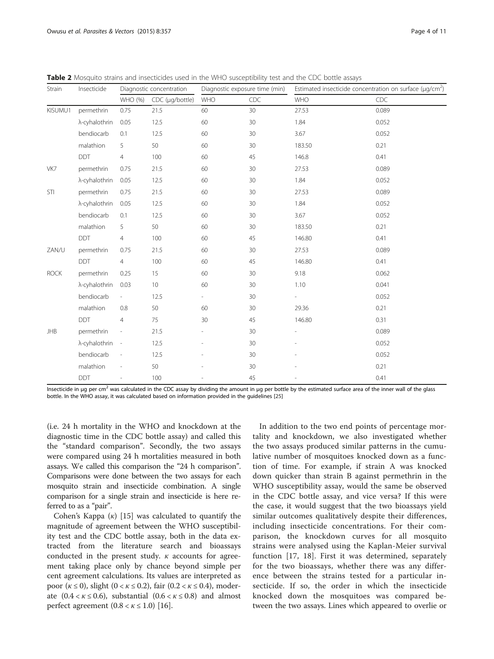| Strain      | Insecticide   | Diagnostic concentration |                 | Diagnostic exposure time (min) |     | Estimated insecticide concentration on surface ( $\mu$ g/cm <sup>2</sup> ) |       |  |
|-------------|---------------|--------------------------|-----------------|--------------------------------|-----|----------------------------------------------------------------------------|-------|--|
|             |               | WHO (%)                  | CDC (µg/bottle) | WHO                            | CDC | <b>WHO</b>                                                                 | CDC   |  |
| KISUMU1     | permethrin    | 0.75                     | 21.5            | 60                             | 30  | 27.53                                                                      | 0.089 |  |
|             | λ-cyhalothrin | 0.05                     | 12.5            | 60                             | 30  | 1.84                                                                       | 0.052 |  |
|             | bendiocarb    | 0.1                      | 12.5            | 60                             | 30  | 3.67                                                                       | 0.052 |  |
|             | malathion     | 5                        | 50              | 60                             | 30  | 183.50                                                                     | 0.21  |  |
|             | <b>DDT</b>    | $\overline{4}$           | 100             | 60                             | 45  | 146.8                                                                      | 0.41  |  |
| VK7         | permethrin    | 0.75                     | 21.5            | 60                             | 30  | 27.53                                                                      | 0.089 |  |
|             | λ-cyhalothrin | 0.05                     | 12.5            | 60                             | 30  | 1.84                                                                       | 0.052 |  |
| STI         | permethrin    | 0.75                     | 21.5            | 60                             | 30  | 27.53                                                                      | 0.089 |  |
|             | λ-cyhalothrin | 0.05                     | 12.5            | 60                             | 30  | 1.84                                                                       | 0.052 |  |
|             | bendiocarb    | 0.1                      | 12.5            | 60                             | 30  | 3.67                                                                       | 0.052 |  |
|             | malathion     | 5                        | 50              | 60                             | 30  | 183.50                                                                     | 0.21  |  |
|             | <b>DDT</b>    | $\overline{4}$           | 100             | 60                             | 45  | 146.80                                                                     | 0.41  |  |
| ZAN/U       | permethrin    | 0.75                     | 21.5            | 60                             | 30  | 27.53                                                                      | 0.089 |  |
|             | <b>DDT</b>    | $\overline{4}$           | 100             | 60                             | 45  | 146.80                                                                     | 0.41  |  |
| <b>ROCK</b> | permethrin    | 0.25                     | 15              | 60                             | 30  | 9.18                                                                       | 0.062 |  |
|             | λ-cyhalothrin | 0.03                     | 10              | 60                             | 30  | 1.10                                                                       | 0.041 |  |
|             | bendiocarb    | $\sim$                   | 12.5            | $\overline{\phantom{a}}$       | 30  |                                                                            | 0.052 |  |
|             | malathion     | 0.8                      | 50              | 60                             | 30  | 29.36                                                                      | 0.21  |  |
|             | DDT           | $\overline{4}$           | 75              | 30                             | 45  | 146.80                                                                     | 0.31  |  |
| <b>JHB</b>  | permethrin    | $\overline{\phantom{a}}$ | 21.5            |                                | 30  |                                                                            | 0.089 |  |
|             | λ-cyhalothrin | $\overline{\phantom{a}}$ | 12.5            |                                | 30  |                                                                            | 0.052 |  |
|             | bendiocarb    | $\overline{\phantom{a}}$ | 12.5            |                                | 30  |                                                                            | 0.052 |  |
|             | malathion     | $\overline{\phantom{a}}$ | 50              |                                | 30  |                                                                            | 0.21  |  |
|             | <b>DDT</b>    | $\overline{a}$           | 100             |                                | 45  |                                                                            | 0.41  |  |

<span id="page-3-0"></span>**Table 2** Mosquito strains and insecticides used in the WHO susceptibility test and the CDC bottle assays

Insecticide in μg per cm<sup>2</sup> was calculated in the CDC assay by dividing the amount in μg per bottle by the estimated surface area of the inner wall of the glass bottle. In the WHO assay, it was calculated based on information provided in the guidelines [\[25](#page-10-0)]

(i.e. 24 h mortality in the WHO and knockdown at the diagnostic time in the CDC bottle assay) and called this the "standard comparison". Secondly, the two assays were compared using 24 h mortalities measured in both assays. We called this comparison the "24 h comparison". Comparisons were done between the two assays for each mosquito strain and insecticide combination. A single comparison for a single strain and insecticide is here referred to as a "pair".

Cohen's Kappa  $(\kappa)$  [\[15](#page-9-0)] was calculated to quantify the magnitude of agreement between the WHO susceptibility test and the CDC bottle assay, both in the data extracted from the literature search and bioassays conducted in the present study.  $\kappa$  accounts for agreement taking place only by chance beyond simple per cent agreement calculations. Its values are interpreted as poor  $(\kappa \le 0)$ , slight  $(0 < \kappa \le 0.2)$ , fair  $(0.2 < \kappa \le 0.4)$ , moderate  $(0.4 < \kappa \le 0.6)$ , substantial  $(0.6 < \kappa \le 0.8)$  and almost perfect agreement  $(0.8 < \kappa \le 1.0)$  [\[16](#page-9-0)].

In addition to the two end points of percentage mortality and knockdown, we also investigated whether the two assays produced similar patterns in the cumulative number of mosquitoes knocked down as a function of time. For example, if strain A was knocked down quicker than strain B against permethrin in the WHO susceptibility assay, would the same be observed in the CDC bottle assay, and vice versa? If this were the case, it would suggest that the two bioassays yield similar outcomes qualitatively despite their differences, including insecticide concentrations. For their comparison, the knockdown curves for all mosquito strains were analysed using the Kaplan-Meier survival function [\[17](#page-9-0), [18\]](#page-9-0). First it was determined, separately for the two bioassays, whether there was any difference between the strains tested for a particular insecticide. If so, the order in which the insecticide knocked down the mosquitoes was compared between the two assays. Lines which appeared to overlie or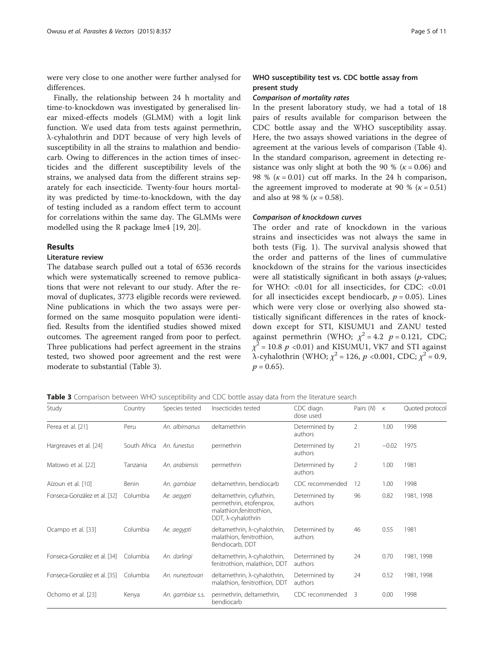<span id="page-4-0"></span>were very close to one another were further analysed for differences.

Finally, the relationship between 24 h mortality and time-to-knockdown was investigated by generalised linear mixed-effects models (GLMM) with a logit link function. We used data from tests against permethrin, λ-cyhalothrin and DDT because of very high levels of susceptibility in all the strains to malathion and bendiocarb. Owing to differences in the action times of insecticides and the different susceptibility levels of the strains, we analysed data from the different strains separately for each insecticide. Twenty-four hours mortality was predicted by time-to-knockdown, with the day of testing included as a random effect term to account for correlations within the same day. The GLMMs were modelled using the R package lme4 [[19](#page-9-0), [20\]](#page-9-0).

# Results

# Literature review

The database search pulled out a total of 6536 records which were systematically screened to remove publications that were not relevant to our study. After the removal of duplicates, 3773 eligible records were reviewed. Nine publications in which the two assays were performed on the same mosquito population were identified. Results from the identified studies showed mixed outcomes. The agreement ranged from poor to perfect. Three publications had perfect agreement in the strains tested, two showed poor agreement and the rest were moderate to substantial (Table 3).

# WHO susceptibility test vs. CDC bottle assay from present study

# Comparison of mortality rates

In the present laboratory study, we had a total of 18 pairs of results available for comparison between the CDC bottle assay and the WHO susceptibility assay. Here, the two assays showed variations in the degree of agreement at the various levels of comparison (Table [4](#page-5-0)). In the standard comparison, agreement in detecting resistance was only slight at both the 90 % ( $\kappa$  = 0.06) and 98 % ( $\kappa$  = 0.01) cut off marks. In the 24 h comparison, the agreement improved to moderate at 90 % ( $\kappa$  = 0.51) and also at 98 % ( $k = 0.58$ ).

#### Comparison of knockdown curves

The order and rate of knockdown in the various strains and insecticides was not always the same in both tests (Fig. [1](#page-6-0)). The survival analysis showed that the order and patterns of the lines of cummulative knockdown of the strains for the various insecticides were all statistically significant in both assays (p-values; for WHO: <0.01 for all insecticides, for CDC: <0.01 for all insecticides except bendiocarb,  $p = 0.05$ ). Lines which were very close or overlying also showed statistically significant differences in the rates of knockdown except for STI, KISUMU1 and ZANU tested against permethrin (WHO;  $\chi^2 = 4.2$   $p = 0.121$ , CDC;  $\chi^2$  = 10.8 p < 0.01) and KISUMU1, VK7 and STI against λ-cyhalothrin (WHO;  $\chi^2$  = 126, *p* <0.001, CDC;  $\chi^2$  = 0.9,  $p = 0.65$ ).

Table 3 Comparison between WHO susceptibility and CDC bottle assay data from the literature search

| Study                        | Country      | Species tested   | Insecticides tested                                                                                             | CDC diagn.<br>dose used  |                         | $\kappa$ | Quoted protocol |  |
|------------------------------|--------------|------------------|-----------------------------------------------------------------------------------------------------------------|--------------------------|-------------------------|----------|-----------------|--|
| Perea et al. [21]            | Peru         | An. albimanus    | deltamethrin<br>Determined by<br>authors                                                                        |                          | $\overline{2}$          | 1.00     | 1998            |  |
| Hargreaves et al. [24]       | South Africa | An. funestus     | permethrin                                                                                                      | Determined by<br>authors | 21                      | $-0.02$  | 1975            |  |
| Matowo et al. [22]           | Tanzania     | An. arabiensis   | permethrin                                                                                                      | Determined by<br>authors | $\overline{2}$          | 1.00     | 1981            |  |
| Aïzoun et al. [10]           | Benin        | An. gambiae      | deltamethrin, bendiocarb                                                                                        | CDC recommended          | 12                      | 1.00     | 1998            |  |
| Fonseca-González et al. [32] | Columbia     | Ae. aegypti      | deltamethrin, cyfluthrin,<br>permethrin, etofenprox,<br>malathion, fenitrothion,<br>DDT, $\lambda$ -cyhalothrin | Determined by<br>authors | 96                      | 0.82     | 1981, 1998      |  |
| Ocampo et al. [33]           | Columbia     | Ae. aegypti      | deltamethrin, λ-cyhalothrin,<br>malathion, fenitrothion,<br>Bendiocarb, DDT                                     | Determined by<br>authors | 46                      | 0.55     | 1981            |  |
| Fonseca-González et al. [34] | Columbia     | An. darlingi     | deltamethrin, λ-cyhalothrin,<br>fenitrothion, malathion, DDT                                                    | Determined by<br>authors | 24                      | 0.70     | 1981, 1998      |  |
| Fonseca-González et al. [35] | Columbia     | An. nuneztovari  | deltamethrin, λ-cyhalothrin,<br>malathion, fenitrothion, DDT                                                    | Determined by<br>authors | 24                      | 0.52     | 1981, 1998      |  |
| Ochomo et al. [23]           | Kenya        | An. gambiae s.s. | permethrin, deltamethrin,<br>bendiocarb                                                                         | CDC recommended          | $\overline{\mathbf{3}}$ | 0.00     | 1998            |  |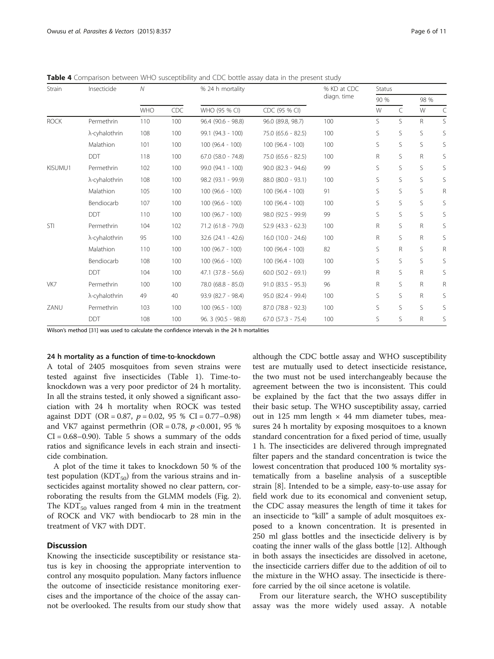| Strain      | Insecticide   | $\overline{N}$ |            | % 24 h mortality       |                        | % KD at CDC<br>diagn. time | Status       |    |      |   |
|-------------|---------------|----------------|------------|------------------------|------------------------|----------------------------|--------------|----|------|---|
|             |               |                |            |                        |                        |                            | 90 %         |    | 98 % |   |
|             |               | <b>WHO</b>     | <b>CDC</b> | WHO (95 % CI)          | CDC (95 % CI)          |                            | W            | C  | W    | C |
| <b>ROCK</b> | Permethrin    | 110            | 100        | 96.4 (90.6 - 98.8)     | 96.0 (89.8, 98.7)      | 100                        | S.           | S  | R    | S |
|             | λ-cyhalothrin | 108            | 100        | 99.1 (94.3 - 100)      | $75.0$ (65.6 - 82.5)   | 100                        | S            | S  | S    | S |
|             | Malathion     | 101            | 100        | $100(96.4 - 100)$      | $100(96.4 - 100)$      | 100                        | S.           | S. | S    | S |
|             | <b>DDT</b>    | 118            | 100        | $67.0$ $(58.0 - 74.8)$ | $75.0$ (65.6 - 82.5)   | 100                        | $\mathsf{R}$ | S  | R    | S |
| KISUMU1     | Permethrin    | 102            | 100        | 99.0 (94.1 - 100)      | $90.0$ $(82.3 - 94.6)$ | 99                         | S            | S  | S    | S |
|             | λ-cyhalothrin | 108            | 100        | 98.2 (93.1 - 99.9)     | 88.0 (80.0 - 93.1)     | 100                        | S            | S  | S    | S |
|             | Malathion     | 105            | 100        | $100(96.6 - 100)$      | $100(96.4 - 100)$      | 91                         | S            | S  | S    | R |
|             | Bendiocarb    | 107            | 100        | $100(96.6 - 100)$      | $100(96.4 - 100)$      | 100                        | S            | S  | S    | S |
|             | <b>DDT</b>    | 110            | 100        | $100(96.7 - 100)$      | 98.0 (92.5 - 99.9)     | 99                         | S            | S  | S    | S |
| STI         | Permethrin    | 104            | 102        | 71.2 (61.8 - 79.0)     | $52.9$ (43.3 - 62.3)   | 100                        | R            | S  | R    | S |
|             | λ-cyhalothrin | 95             | 100        | $32.6(24.1 - 42.6)$    | $16.0$ (10.0 - 24.6)   | 100                        | R            | S  | R    | S |
|             | Malathion     | 110            | 100        | $100(96.7 - 100)$      | $100(96.4 - 100)$      | 82                         | S            | R  | S    | R |
|             | Bendiocarb    | 108            | 100        | $100(96.6 - 100)$      | $100(96.4 - 100)$      | 100                        | S            | S  | S    | S |
|             | <b>DDT</b>    | 104            | 100        | $47.1$ $(37.8 - 56.6)$ | $60.0$ $(50.2 - 69.1)$ | 99                         | R            | S  | R    | S |
| VK7         | Permethrin    | 100            | 100        | 78.0 (68.8 - 85.0)     | $91.0 (83.5 - 95.3)$   | 96                         | R            | S  | R    | R |
|             | λ-cyhalothrin | 49             | 40         | 93.9 (82.7 - 98.4)     | 95.0 (82.4 - 99.4)     | 100                        | S            | S  | R    | S |
| ZANU        | Permethrin    | 103            | 100        | $100(96.5 - 100)$      | $87.0(78.8 - 92.3)$    | 100                        | S            | S  | S    | S |
|             | <b>DDT</b>    | 108            | 100        | 96. 3 (90.5 - 98.8)    | $67.0$ $(57.3 - 75.4)$ | 100                        | S            | S  | R    | S |

<span id="page-5-0"></span>Table 4 Comparison between WHO susceptibility and CDC bottle assay data in the present study

Wilson's method [\[31\]](#page-10-0) was used to calculate the confidence intervals in the 24 h mortalities

#### 24 h mortality as a function of time-to-knockdown

A total of 2405 mosquitoes from seven strains were tested against five insecticides (Table [1](#page-2-0)). Time-toknockdown was a very poor predictor of 24 h mortality. In all the strains tested, it only showed a significant association with 24 h mortality when ROCK was tested against DDT (OR = 0.87,  $p = 0.02$ , 95 % CI = 0.77-0.98) and VK7 against permethrin (OR = 0.78,  $p < 0.001$ , 95 %  $CI = 0.68 - 0.90$ . Table [5](#page-7-0) shows a summary of the odds ratios and significance levels in each strain and insecticide combination.

A plot of the time it takes to knockdown 50 % of the test population ( $KDT_{50}$ ) from the various strains and insecticides against mortality showed no clear pattern, corroborating the results from the GLMM models (Fig. [2](#page-8-0)). The  $KDT_{50}$  values ranged from 4 min in the treatment of ROCK and VK7 with bendiocarb to 28 min in the treatment of VK7 with DDT.

# **Discussion**

Knowing the insecticide susceptibility or resistance status is key in choosing the appropriate intervention to control any mosquito population. Many factors influence the outcome of insecticide resistance monitoring exercises and the importance of the choice of the assay cannot be overlooked. The results from our study show that although the CDC bottle assay and WHO susceptibility test are mutually used to detect insecticide resistance, the two must not be used interchangeably because the agreement between the two is inconsistent. This could be explained by the fact that the two assays differ in their basic setup. The WHO susceptibility assay, carried out in 125 mm length  $\times$  44 mm diameter tubes, measures 24 h mortality by exposing mosquitoes to a known standard concentration for a fixed period of time, usually 1 h. The insecticides are delivered through impregnated filter papers and the standard concentration is twice the lowest concentration that produced 100 % mortality systematically from a baseline analysis of a susceptible strain [\[8](#page-9-0)]. Intended to be a simple, easy-to-use assay for field work due to its economical and convenient setup, the CDC assay measures the length of time it takes for an insecticide to "kill" a sample of adult mosquitoes exposed to a known concentration. It is presented in 250 ml glass bottles and the insecticide delivery is by coating the inner walls of the glass bottle [[12\]](#page-9-0). Although in both assays the insecticides are dissolved in acetone, the insecticide carriers differ due to the addition of oil to the mixture in the WHO assay. The insecticide is therefore carried by the oil since acetone is volatile.

From our literature search, the WHO susceptibility assay was the more widely used assay. A notable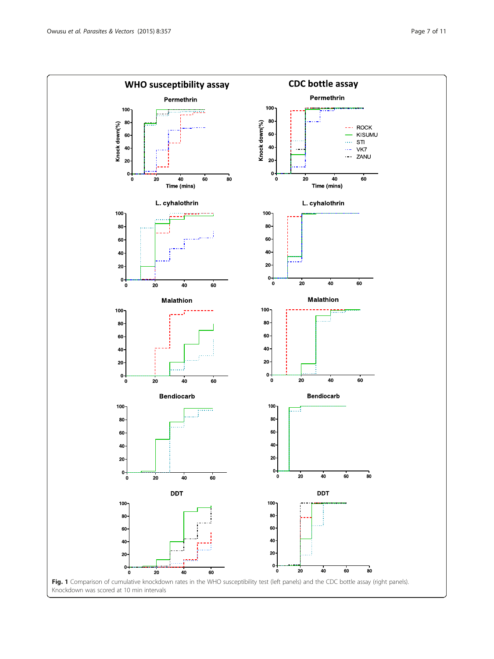<span id="page-6-0"></span>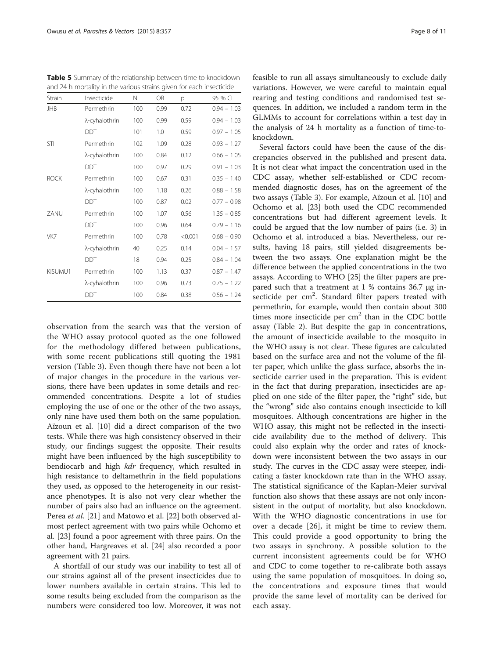| and 24 h mortality in the various strains given for each insecticide |               |     |           |         |               |  |  |  |
|----------------------------------------------------------------------|---------------|-----|-----------|---------|---------------|--|--|--|
| Strain                                                               | Insecticide   | N   | <b>OR</b> | p       | 95 % CI       |  |  |  |
| <b>JHB</b>                                                           | Permethrin    | 100 | 0.99      | 0.72    | $0.94 - 1.03$ |  |  |  |
|                                                                      | λ-cyhalothrin | 100 | 0.99      | 0.59    | $0.94 - 1.03$ |  |  |  |
|                                                                      | <b>DDT</b>    | 101 | 1.0       | 0.59    | $0.97 - 1.05$ |  |  |  |
| <b>STI</b>                                                           | Permethrin    | 102 | 1.09      | 0.28    | $0.93 - 1.27$ |  |  |  |
|                                                                      | λ-cyhalothrin | 100 | 0.84      | 0.12    | $0.66 - 1.05$ |  |  |  |
|                                                                      | <b>DDT</b>    | 100 | 0.97      | 0.29    | $0.91 - 1.03$ |  |  |  |
| <b>ROCK</b>                                                          | Permethrin    | 100 | 0.67      | 0.31    | $0.35 - 1.40$ |  |  |  |
|                                                                      | λ-cyhalothrin | 100 | 1.18      | 0.26    | $0.88 - 1.58$ |  |  |  |
|                                                                      | <b>DDT</b>    | 100 | 0.87      | 0.02    | $0.77 - 0.98$ |  |  |  |
| 7ANU                                                                 | Permethrin    | 100 | 1.07      | 0.56    | $1.35 - 0.85$ |  |  |  |
|                                                                      | DDT           | 100 | 0.96      | 0.64    | $0.79 - 1.16$ |  |  |  |
| VK7                                                                  | Permethrin    | 100 | 0.78      | < 0.001 | $0.68 - 0.90$ |  |  |  |
|                                                                      | λ-cyhalothrin | 40  | 0.25      | 0.14    | $0.04 - 1.57$ |  |  |  |
|                                                                      | <b>DDT</b>    | 18  | 0.94      | 0.25    | $0.84 - 1.04$ |  |  |  |
| KISUMU1                                                              | Permethrin    | 100 | 1.13      | 0.37    | $0.87 - 1.47$ |  |  |  |
|                                                                      | λ-cyhalothrin | 100 | 0.96      | 0.73    | $0.75 - 1.22$ |  |  |  |
|                                                                      | <b>DDT</b>    | 100 | 0.84      | 0.38    | $0.56 - 1.24$ |  |  |  |

<span id="page-7-0"></span>Table 5 Summary of the relationship between time-to-knockdown

observation from the search was that the version of the WHO assay protocol quoted as the one followed for the methodology differed between publications, with some recent publications still quoting the 1981 version (Table [3\)](#page-4-0). Even though there have not been a lot of major changes in the procedure in the various versions, there have been updates in some details and recommended concentrations. Despite a lot of studies employing the use of one or the other of the two assays, only nine have used them both on the same population. Aïzoun et al. [\[10\]](#page-9-0) did a direct comparison of the two tests. While there was high consistency observed in their study, our findings suggest the opposite. Their results might have been influenced by the high susceptibility to bendiocarb and high kdr frequency, which resulted in high resistance to deltamethrin in the field populations they used, as opposed to the heterogeneity in our resistance phenotypes. It is also not very clear whether the number of pairs also had an influence on the agreement. Perea *et al.* [\[21\]](#page-9-0) and Matowo et al. [[22](#page-9-0)] both observed almost perfect agreement with two pairs while Ochomo et al. [\[23\]](#page-9-0) found a poor agreement with three pairs. On the other hand, Hargreaves et al. [\[24\]](#page-9-0) also recorded a poor agreement with 21 pairs.

A shortfall of our study was our inability to test all of our strains against all of the present insecticides due to lower numbers available in certain strains. This led to some results being excluded from the comparison as the numbers were considered too low. Moreover, it was not

feasible to run all assays simultaneously to exclude daily variations. However, we were careful to maintain equal rearing and testing conditions and randomised test sequences. In addition, we included a random term in the GLMMs to account for correlations within a test day in the analysis of 24 h mortality as a function of time-toknockdown.

Several factors could have been the cause of the discrepancies observed in the published and present data. It is not clear what impact the concentration used in the CDC assay, whether self-established or CDC recommended diagnostic doses, has on the agreement of the two assays (Table [3](#page-4-0)). For example, Aïzoun et al. [\[10](#page-9-0)] and Ochomo et al. [[23\]](#page-9-0) both used the CDC recommended concentrations but had different agreement levels. It could be argued that the low number of pairs (i.e. 3) in Ochomo et al. introduced a bias. Nevertheless, our results, having 18 pairs, still yielded disagreements between the two assays. One explanation might be the difference between the applied concentrations in the two assays. According to WHO [\[25](#page-10-0)] the filter papers are prepared such that a treatment at 1 % contains 36.7 μg insecticide per cm<sup>2</sup>. Standard filter papers treated with permethrin, for example, would then contain about 300 times more insecticide per  $cm<sup>2</sup>$  than in the CDC bottle assay (Table [2\)](#page-3-0). But despite the gap in concentrations, the amount of insecticide available to the mosquito in the WHO assay is not clear. These figures are calculated based on the surface area and not the volume of the filter paper, which unlike the glass surface, absorbs the insecticide carrier used in the preparation. This is evident in the fact that during preparation, insecticides are applied on one side of the filter paper, the "right" side, but the "wrong" side also contains enough insecticide to kill mosquitoes. Although concentrations are higher in the WHO assay, this might not be reflected in the insecticide availability due to the method of delivery. This could also explain why the order and rates of knockdown were inconsistent between the two assays in our study. The curves in the CDC assay were steeper, indicating a faster knockdown rate than in the WHO assay. The statistical significance of the Kaplan-Meier survival function also shows that these assays are not only inconsistent in the output of mortality, but also knockdown. With the WHO diagnostic concentrations in use for over a decade [[26](#page-10-0)], it might be time to review them. This could provide a good opportunity to bring the two assays in synchrony. A possible solution to the current inconsistent agreements could be for WHO and CDC to come together to re-calibrate both assays using the same population of mosquitoes. In doing so, the concentrations and exposure times that would provide the same level of mortality can be derived for each assay.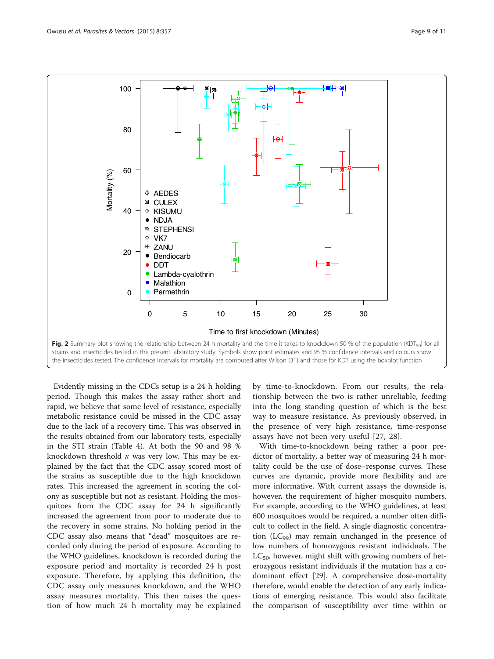<span id="page-8-0"></span>![](_page_8_Figure_2.jpeg)

Evidently missing in the CDCs setup is a 24 h holding period. Though this makes the assay rather short and rapid, we believe that some level of resistance, especially metabolic resistance could be missed in the CDC assay due to the lack of a recovery time. This was observed in the results obtained from our laboratory tests, especially in the STI strain (Table [4](#page-5-0)). At both the 90 and 98 % knockdown threshold  $\kappa$  was very low. This may be explained by the fact that the CDC assay scored most of the strains as susceptible due to the high knockdown rates. This increased the agreement in scoring the colony as susceptible but not as resistant. Holding the mosquitoes from the CDC assay for 24 h significantly increased the agreement from poor to moderate due to the recovery in some strains. No holding period in the CDC assay also means that "dead" mosquitoes are recorded only during the period of exposure. According to the WHO guidelines, knockdown is recorded during the exposure period and mortality is recorded 24 h post exposure. Therefore, by applying this definition, the CDC assay only measures knockdown, and the WHO assay measures mortality. This then raises the question of how much 24 h mortality may be explained by time-to-knockdown. From our results, the relationship between the two is rather unreliable, feeding into the long standing question of which is the best way to measure resistance. As previously observed, in the presence of very high resistance, time-response assays have not been very useful [[27](#page-10-0), [28](#page-10-0)].

With time-to-knockdown being rather a poor predictor of mortality, a better way of measuring 24 h mortality could be the use of dose–response curves. These curves are dynamic, provide more flexibility and are more informative. With current assays the downside is, however, the requirement of higher mosquito numbers. For example, according to the WHO guidelines, at least 600 mosquitoes would be required, a number often difficult to collect in the field. A single diagnostic concentration  $(LC_{99})$  may remain unchanged in the presence of low numbers of homozygous resistant individuals. The  $LC_{50}$ , however, might shift with growing numbers of heterozygous resistant individuals if the mutation has a codominant effect [\[29\]](#page-10-0). A comprehensive dose-mortality therefore, would enable the detection of any early indications of emerging resistance. This would also facilitate the comparison of susceptibility over time within or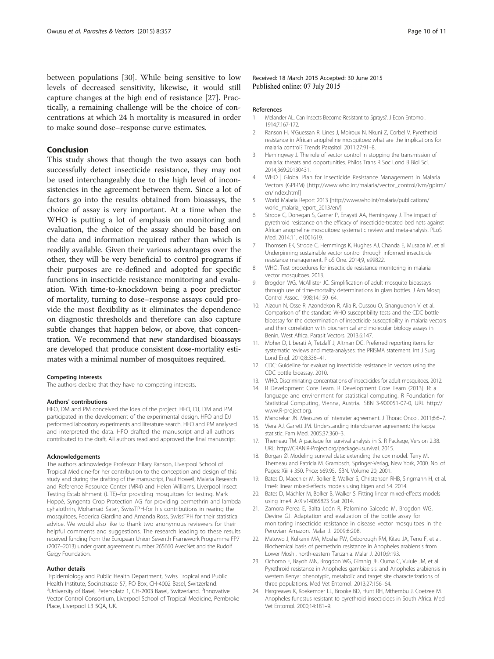<span id="page-9-0"></span>between populations [[30\]](#page-10-0). While being sensitive to low levels of decreased sensitivity, likewise, it would still capture changes at the high end of resistance [[27](#page-10-0)]. Practically, a remaining challenge will be the choice of concentrations at which 24 h mortality is measured in order to make sound dose–response curve estimates.

# Conclusion

This study shows that though the two assays can both successfully detect insecticide resistance, they may not be used interchangeably due to the high level of inconsistencies in the agreement between them. Since a lot of factors go into the results obtained from bioassays, the choice of assay is very important. At a time when the WHO is putting a lot of emphasis on monitoring and evaluation, the choice of the assay should be based on the data and information required rather than which is readily available. Given their various advantages over the other, they will be very beneficial to control programs if their purposes are re-defined and adopted for specific functions in insecticide resistance monitoring and evaluation. With time-to-knockdown being a poor predictor of mortality, turning to dose–response assays could provide the most flexibility as it eliminates the dependence on diagnostic thresholds and therefore can also capture subtle changes that happen below, or above, that concentration. We recommend that new standardised bioassays are developed that produce consistent dose-mortality estimates with a minimal number of mosquitoes required.

#### Competing interests

The authors declare that they have no competing interests.

#### Authors' contributions

HFO, DM and PM conceived the idea of the project. HFO, DJ, DM and PM participated in the development of the experimental design. HFO and DJ performed laboratory experiments and literature search. HFO and PM analysed and interpreted the data. HFO drafted the manuscript and all authors contributed to the draft. All authors read and approved the final manuscript.

#### Acknowledgements

The authors acknowledge Professor Hilary Ranson, Liverpool School of Tropical Medicine-for her contribution to the conception and design of this study and during the drafting of the manuscript, Paul Howell, Malaria Research and Reference Resource Center (MR4) and Helen Williams, Liverpool Insect Testing Establishment (LITE)–for providing mosquitoes for testing, Mark Hoppé, Syngenta Crop Protection AG–for providing permethrin and lambda cyhalothrin, Mohamad Sater, SwissTPH-for his contributions in rearing the mosquitoes, Federica Giardina and Amanda Ross, SwissTPH for their statistical advice. We would also like to thank two anonymous reviewers for their helpful comments and suggestions. The research leading to these results received funding from the European Union Seventh Framework Programme FP7 (2007–2013) under grant agreement number 265660 AvecNet and the Rudolf Geigy Foundation.

#### Author details

<sup>1</sup> Epidemiology and Public Health Department, Swiss Tropical and Public Health Institute, Socinstrasse 57, PO Box, CH-4002 Basel, Switzerland. <sup>2</sup>University of Basel, Petersplatz 1, CH-2003 Basel, Switzerland. <sup>3</sup>Innovative Vector Control Consortium, Liverpool School of Tropical Medicine, Pembroke Place, Liverpool L3 5QA, UK.

Received: 18 March 2015 Accepted: 30 June 2015<br>Published online: 07 July 2015

#### References

- 1. Melander AL. Can Insects Become Resistant to Sprays?. J Econ Entomol. 1914;7:167-172.
- 2. Ranson H, N'Guessan R, Lines J, Moiroux N, Nkuni Z, Corbel V. Pyrethroid resistance in African anopheline mosquitoes: what are the implications for malaria control? Trends Parasitol. 2011;27:91–8.
- 3. Hemingway J. The role of vector control in stopping the transmission of malaria: threats and opportunities. Philos Trans R Soc Lond B Biol Sci. 2014;369:20130431.
- 4. WHO | Global Plan for Insecticide Resistance Management in Malaria Vectors (GPIRM) [\[http://www.who.int/malaria/vector\\_control/ivm/gpirm/](http://www.who.int/malaria/vector_control/ivm/gpirm/en/index.html) [en/index.html](http://www.who.int/malaria/vector_control/ivm/gpirm/en/index.html)]
- 5. World Malaria Report 2013 [[http://www.who.int/malaria/publications/](http://www.who.int/malaria/publications/world_malaria_report_2013/en/) [world\\_malaria\\_report\\_2013/en/](http://www.who.int/malaria/publications/world_malaria_report_2013/en/)]
- Strode C, Donegan S, Garner P, Enayati AA, Hemingway J. The impact of pyrethroid resistance on the efficacy of insecticide-treated bed nets against African anopheline mosquitoes: systematic review and meta-analysis. PLoS Med. 2014;11, e1001619.
- 7. Thomsen EK, Strode C, Hemmings K, Hughes AJ, Chanda E, Musapa M, et al. Underpinning sustainable vector control through informed insecticide resistance management. PloS One. 2014;9, e99822.
- 8. WHO. Test procedures for insecticide resistance monitoring in malaria vector mosquitoes. 2013.
- 9. Brogdon WG, McAllister JC. Simplification of adult mosquito bioassays through use of time-mortality determinations in glass bottles. J Am Mosq Control Assoc. 1998;14:159–64.
- 10. Aizoun N, Osse R, Azondekon R, Alia R, Oussou O, Gnanguenon V, et al. Comparison of the standard WHO susceptibility tests and the CDC bottle bioassay for the determination of insecticide susceptibility in malaria vectors and their correlation with biochemical and molecular biology assays in Benin, West Africa. Parasit Vectors. 2013;6:147.
- 11. Moher D, Liberati A, Tetzlaff J, Altman DG. Preferred reporting items for systematic reviews and meta-analyses: the PRISMA statement. Int J Surg Lond Engl. 2010;8:336–41.
- 12. CDC: Guideline for evaluating insecticide resistance in vectors using the CDC bottle bioassay. 2010.
- 13. WHO. Discriminating concentrations of insecticides for adult mosquitoes. 2012.
- 14. R Development Core Team. R Development Core Team (2013). R: a language and environment for statistical computing. R Foundation for Statistical Computing, Vienna, Austria. ISBN 3-900051-07-0, URL [http://](http://www.r-project.org) [www.R-project.org](http://www.r-project.org).
- 15. Mandrekar JN. Measures of interrater agreement. J Thorac Oncol. 2011;6:6–7.
- 16. Viera AJ, Garrett JM. Understanding interobserver agreement: the kappa statistic. Fam Med. 2005;37:360–3.
- 17. Therneau TM. A package for survival analysis in S. R Package, Version 2.38. URL: [http://CRAN.R-Project.org/package=survival.](http://cran.r-project.org/package=survival) 2015.
- 18. Borgan Ø. Modeling survival data: extending the cox model. Terry M. Therneau and Patricia M. Grambsch, Springer-Verlag, New York, 2000. No. of Pages: Xiii + 350. Price: \$69.95. ISBN. Volume 20; 2001.
- 19. Bates D, Maechler M, Bolker B, Walker S, Christensen RHB, Singmann H, et al. lme4: linear mixed-effects models using Eigen and S4. 2014.
- 20. Bates D, Mächler M, Bolker B, Walker S. Fitting linear mixed-effects models using lme4. ArXiv14065823 Stat 2014.
- 21. Zamora Perea E, Balta León R, Palomino Salcedo M, Brogdon WG, Devine GJ. Adaptation and evaluation of the bottle assay for monitoring insecticide resistance in disease vector mosquitoes in the Peruvian Amazon. Malar J. 2009;8:208.
- 22. Matowo J, Kulkarni MA, Mosha FW, Oxborough RM, Kitau JA, Tenu F, et al. Biochemical basis of permethrin resistance in Anopheles arabiensis from Lower Moshi, north-eastern Tanzania. Malar J. 2010;9:193.
- 23. Ochomo E, Bayoh MN, Brogdon WG, Gimnig JE, Ouma C, Vulule JM, et al. Pyrethroid resistance in Anopheles gambiae s.s. and Anopheles arabiensis in western Kenya: phenotypic, metabolic and target site characterizations of three populations. Med Vet Entomol. 2013;27:156–64.
- 24. Hargreaves K, Koekemoer LL, Brooke BD, Hunt RH, Mthembu J, Coetzee M. Anopheles funestus resistant to pyrethroid insecticides in South Africa. Med Vet Entomol. 2000;14:181–9.